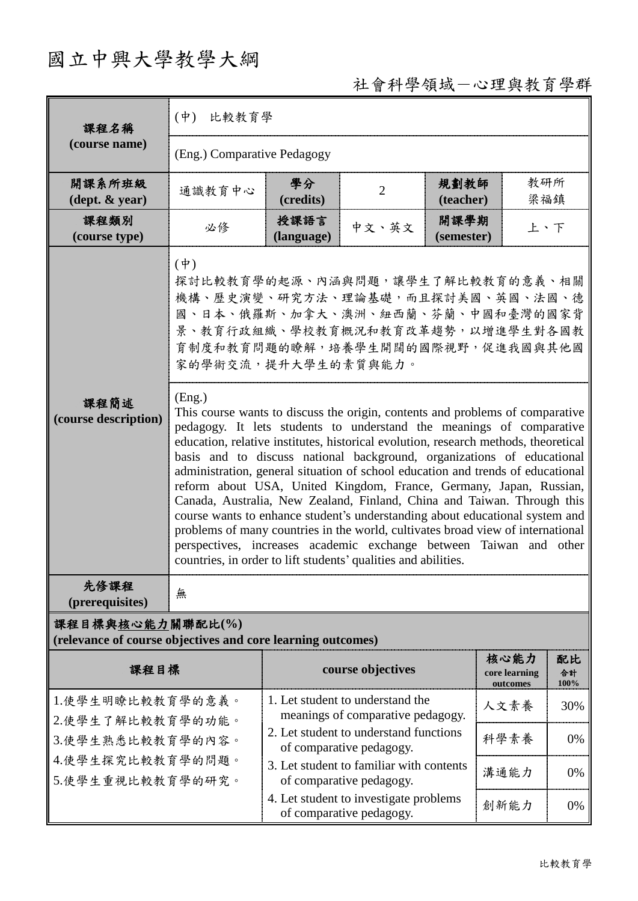## 國立中興大學教學大綱

## 社會科學領域-心理與教育學群

| 課程名稱                                                                            | (中) 比較教育學                                                                                                                                                                                                                                                                                                                                                                                                                                                                                                                                                                                                                                                                                                                                                                                                                                                                                                                                                                                                                                                                                                    |                                                                       |                                                                    |                    |                                   |                  |  |  |
|---------------------------------------------------------------------------------|--------------------------------------------------------------------------------------------------------------------------------------------------------------------------------------------------------------------------------------------------------------------------------------------------------------------------------------------------------------------------------------------------------------------------------------------------------------------------------------------------------------------------------------------------------------------------------------------------------------------------------------------------------------------------------------------------------------------------------------------------------------------------------------------------------------------------------------------------------------------------------------------------------------------------------------------------------------------------------------------------------------------------------------------------------------------------------------------------------------|-----------------------------------------------------------------------|--------------------------------------------------------------------|--------------------|-----------------------------------|------------------|--|--|
| (course name)                                                                   | (Eng.) Comparative Pedagogy                                                                                                                                                                                                                                                                                                                                                                                                                                                                                                                                                                                                                                                                                                                                                                                                                                                                                                                                                                                                                                                                                  |                                                                       |                                                                    |                    |                                   |                  |  |  |
| 開課系所班級<br>$(\text{dept.} \& \text{ year})$                                      | 通識教育中心                                                                                                                                                                                                                                                                                                                                                                                                                                                                                                                                                                                                                                                                                                                                                                                                                                                                                                                                                                                                                                                                                                       | 學分<br>(credits)                                                       | $\overline{2}$                                                     | 規劃教師<br>(teacher)  | 教研所<br>梁福鎮                        |                  |  |  |
| 課程類別<br>(course type)                                                           | 必修                                                                                                                                                                                                                                                                                                                                                                                                                                                                                                                                                                                                                                                                                                                                                                                                                                                                                                                                                                                                                                                                                                           | 授課語言<br>(language)                                                    | 中文、英文                                                              | 開課學期<br>(semester) | 上、下                               |                  |  |  |
| 課程簡述<br>(course description)                                                    | $(\dot{\Psi})$<br>探討比較教育學的起源、內涵與問題,讓學生了解比較教育的意義、相關<br>機構、歷史演變、研究方法、理論基礎,而且探討美國、英國、法國、德<br>國、日本、俄羅斯、加拿大、澳洲、紐西蘭、芬蘭、中國和臺灣的國家背<br>景、教育行政組織、學校教育概況和教育改革趨勢,以增進學生對各國教<br>育制度和教育問題的瞭解,培養學生開闊的國際視野,促進我國與其他國<br>家的學術交流,提升大學生的素質與能力。<br>(Eng.)<br>This course wants to discuss the origin, contents and problems of comparative<br>pedagogy. It lets students to understand the meanings of comparative<br>education, relative institutes, historical evolution, research methods, theoretical<br>basis and to discuss national background, organizations of educational<br>administration, general situation of school education and trends of educational<br>reform about USA, United Kingdom, France, Germany, Japan, Russian,<br>Canada, Australia, New Zealand, Finland, China and Taiwan. Through this<br>course wants to enhance student's understanding about educational system and<br>problems of many countries in the world, cultivates broad view of international<br>perspectives, increases academic exchange between Taiwan and other<br>countries, in order to lift students' qualities and abilities. |                                                                       |                                                                    |                    |                                   |                  |  |  |
| 先修課程<br>(prerequisites)                                                         | 無                                                                                                                                                                                                                                                                                                                                                                                                                                                                                                                                                                                                                                                                                                                                                                                                                                                                                                                                                                                                                                                                                                            |                                                                       |                                                                    |                    |                                   |                  |  |  |
| 課程目標與核心能力關聯配比(%)<br>(relevance of course objectives and core learning outcomes) |                                                                                                                                                                                                                                                                                                                                                                                                                                                                                                                                                                                                                                                                                                                                                                                                                                                                                                                                                                                                                                                                                                              |                                                                       |                                                                    |                    |                                   |                  |  |  |
| 課程目標                                                                            |                                                                                                                                                                                                                                                                                                                                                                                                                                                                                                                                                                                                                                                                                                                                                                                                                                                                                                                                                                                                                                                                                                              |                                                                       | course objectives                                                  |                    | 核心能力<br>core learning<br>outcomes | 配比<br>合計<br>100% |  |  |
| 1.使學生明瞭比較教育學的意義。<br>2.使學生了解比較教育學的功能。                                            |                                                                                                                                                                                                                                                                                                                                                                                                                                                                                                                                                                                                                                                                                                                                                                                                                                                                                                                                                                                                                                                                                                              | 1. Let student to understand the<br>meanings of comparative pedagogy. |                                                                    |                    | 人文素養                              | 30%              |  |  |
| 3.使學生熟悉比較教育學的內容。                                                                |                                                                                                                                                                                                                                                                                                                                                                                                                                                                                                                                                                                                                                                                                                                                                                                                                                                                                                                                                                                                                                                                                                              | 2. Let student to understand functions<br>of comparative pedagogy.    |                                                                    |                    | 科學素養                              | 0%               |  |  |
| 4.使學生探究比較教育學的問題。<br>5.使學生重視比較教育學的研究。                                            |                                                                                                                                                                                                                                                                                                                                                                                                                                                                                                                                                                                                                                                                                                                                                                                                                                                                                                                                                                                                                                                                                                              | 3. Let student to familiar with contents<br>of comparative pedagogy.  |                                                                    |                    | 溝通能力                              | 0%               |  |  |
|                                                                                 |                                                                                                                                                                                                                                                                                                                                                                                                                                                                                                                                                                                                                                                                                                                                                                                                                                                                                                                                                                                                                                                                                                              |                                                                       | 4. Let student to investigate problems<br>of comparative pedagogy. |                    | 創新能力                              | 0%               |  |  |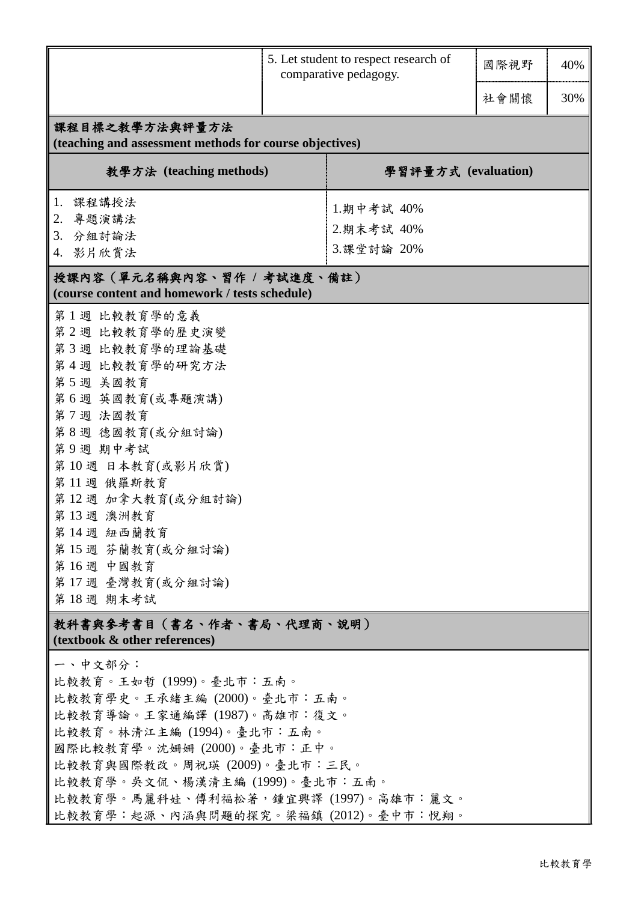|                                                            |  | 5. Let student to respect research of<br>comparative pedagogy. |      | 40% |  |  |  |  |  |
|------------------------------------------------------------|--|----------------------------------------------------------------|------|-----|--|--|--|--|--|
|                                                            |  |                                                                | 社會關懷 | 30% |  |  |  |  |  |
| 課程目標之教學方法與評量方法                                             |  |                                                                |      |     |  |  |  |  |  |
| (teaching and assessment methods for course objectives)    |  |                                                                |      |     |  |  |  |  |  |
| 教學方法 (teaching methods)                                    |  | 學習評量方式 (evaluation)                                            |      |     |  |  |  |  |  |
| 課程講授法<br>1.                                                |  | 1.期中考試 40%                                                     |      |     |  |  |  |  |  |
| 專題演講法<br>2.                                                |  | 2.期末考試 40%                                                     |      |     |  |  |  |  |  |
| 3. 分組討論法<br>4. 影片欣賞法                                       |  | 3.課堂討論 20%                                                     |      |     |  |  |  |  |  |
| 授課內容(單元名稱與內容、習作 / 考試進度、備註)                                 |  |                                                                |      |     |  |  |  |  |  |
| (course content and homework / tests schedule)             |  |                                                                |      |     |  |  |  |  |  |
| 第1週 比較教育學的意義                                               |  |                                                                |      |     |  |  |  |  |  |
| 第2週 比較教育學的歷史演變                                             |  |                                                                |      |     |  |  |  |  |  |
| 第3週 比較教育學的理論基礎                                             |  |                                                                |      |     |  |  |  |  |  |
| 第4週 比較教育學的研究方法                                             |  |                                                                |      |     |  |  |  |  |  |
| 第5週 美國教育<br>第6週 英國教育(或專題演講)                                |  |                                                                |      |     |  |  |  |  |  |
| 第7週 法國教育                                                   |  |                                                                |      |     |  |  |  |  |  |
| 第8週 德國教育(或分組討論)                                            |  |                                                                |      |     |  |  |  |  |  |
| 第9週 期中考試                                                   |  |                                                                |      |     |  |  |  |  |  |
| 第10週 日本教育(或影片欣賞)                                           |  |                                                                |      |     |  |  |  |  |  |
| 第11週 俄羅斯教育                                                 |  |                                                                |      |     |  |  |  |  |  |
| 第12週 加拿大教育(或分組討論)                                          |  |                                                                |      |     |  |  |  |  |  |
| 第13週 澳洲教育                                                  |  |                                                                |      |     |  |  |  |  |  |
| 第14週 紐西蘭教育<br>第15週 芬蘭教育(或分組討論)                             |  |                                                                |      |     |  |  |  |  |  |
| 第16週 中國教育                                                  |  |                                                                |      |     |  |  |  |  |  |
| 第17週 臺灣教育(或分組討論)                                           |  |                                                                |      |     |  |  |  |  |  |
| 第18週 期末考試                                                  |  |                                                                |      |     |  |  |  |  |  |
| 教科書與參考書目(書名、作者、書局、代理商、説明)<br>(textbook & other references) |  |                                                                |      |     |  |  |  |  |  |
| 一、中文部分:                                                    |  |                                                                |      |     |  |  |  |  |  |
| 比較教育。王如哲 (1999)。臺北市:五南。                                    |  |                                                                |      |     |  |  |  |  |  |
| 比較教育學史。王承緒主編 (2000)。臺北市:五南。                                |  |                                                                |      |     |  |  |  |  |  |
| 比較教育導論。王家通編譯 (1987)。高雄市:復文。                                |  |                                                                |      |     |  |  |  |  |  |
| 比較教育。林清江主編 (1994)。臺北市:五南。                                  |  |                                                                |      |     |  |  |  |  |  |
| 國際比較教育學。沈姍姍 (2000)。臺北市:正中。<br>比較教育與國際教改。周祝瑛 (2009)。臺北市:三民。 |  |                                                                |      |     |  |  |  |  |  |
| 比較教育學。吳文侃、楊漢清主編 (1999)。臺北市:五南。                             |  |                                                                |      |     |  |  |  |  |  |
| 比較教育學。馬麗科娃、傅利福松著,鍾宜興譯 (1997)。高雄市:麗文。                       |  |                                                                |      |     |  |  |  |  |  |
| 比較教育學:起源、內涵與問題的探究。梁福鎮 (2012)。臺中市:悅翔。                       |  |                                                                |      |     |  |  |  |  |  |
|                                                            |  |                                                                |      |     |  |  |  |  |  |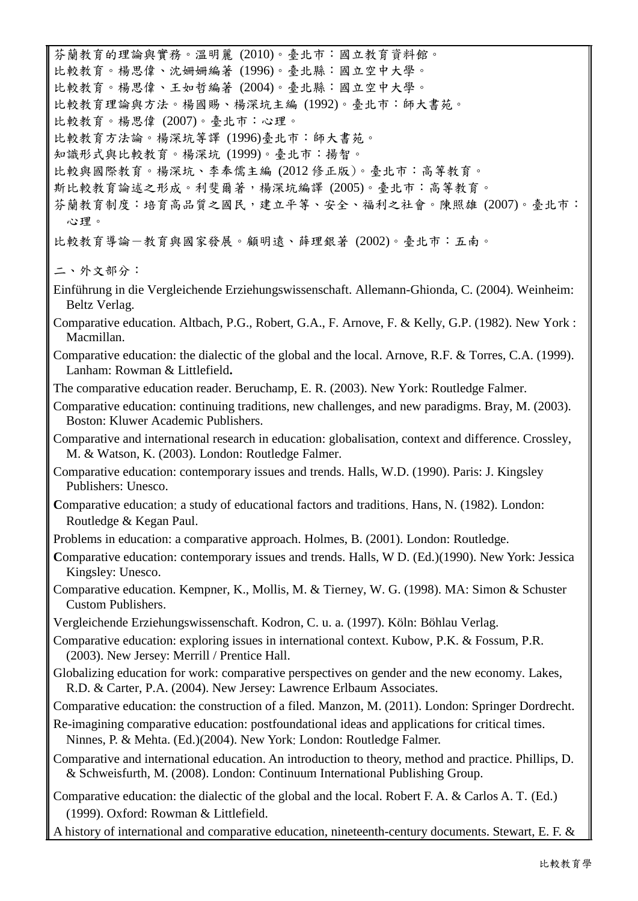芬蘭教育的理論與實務。溫明麗 (2010)。臺北市:國立教育資料館。 比較教育。楊思偉、沈姍姍編著 (1996)。臺北縣:國立空中大學。 比較教育。楊思偉、王如哲編著 (2004)。臺北縣:國立空中大學。 比較教育理論與方法。楊國賜、楊深坑主編 (1992)。臺北市:師大書苑。 比較教育。楊思偉 (2007)。臺北市:心理。 比較教育方法論。楊深坑等譯 (1996)臺北市:師大書苑。 知識形式與比較教育。楊深坑 (1999)。臺北市:揚智。 比較與國際教育。楊深坑、李奉儒主編 (2012 修正版)。臺北市:高等教育。 斯比較教育論述之形成。利斐爾著,楊深坑編譯 (2005)。臺北市:高等教育。 芬蘭教育制度:培育高品質之國民,建立平等、安全、福利之社會。陳照雄 (2007)。臺北市: 心理。 比較教育導論-教育與國家發展。顧明遠、薛理銀著 (2002)。臺北市:五南。 二、外文部分: Einführung in die Vergleichende Erziehungswissenschaft. Allemann-Ghionda, C. (2004). Weinheim: Beltz Verlag. Comparative education. Altbach, P.G., Robert, G.A., F. Arnove, F. & Kelly, G.P. (1982). New York : Macmillan. Comparative education: the dialectic of the global and the local. Arnove, R.F. & Torres, C.A. (1999). Lanham: Rowman & Littlefield**.** The comparative education reader. Beruchamp, E. R. (2003). New York: Routledge Falmer. Comparative education: continuing traditions, new challenges, and new paradigms. Bray, M. (2003). Boston: Kluwer Academic Publishers. Comparative and international research in education: globalisation, context and difference. Crossley, M. & Watson, K. (2003). London: Routledge Falmer. Comparative education: contemporary issues and trends. Halls, W.D. (1990). Paris: J. Kingsley Publishers: Unesco. Comparative education: [a study of educational factors and traditions](javascript:open_window(%22http://catalogue.bl.uk:80/F/Y1R3Y5D35V1IXRTG1L3FJ69PK91UD1ITP8DCNNN534D4TDHS2C-01459?func=service&doc_number=007087579&line_number=0010&service_type=TAG%22);). Hans, N. (1982). London: Routledge & Kegan Paul. Problems in education: a comparative approach. Holmes, B. (2001). London: Routledge. Comparative education: [contemporary issues and](javascript:open_window(%22http://catalogue.bl.uk:80/F/Y1R3Y5D35V1IXRTG1L3FJ69PK91UD1ITP8DCNNN534D4TDHS2C-05005?func=service&doc_number=009777913&line_number=0009&service_type=TAG%22);) trends. [Halls, W D.](javascript:open_window(%22http://catalogue.bl.uk:80/F/Y1R3Y5D35V1IXRTG1L3FJ69PK91UD1ITP8DCNNN534D4TDHS2C-05007?func=service&doc_number=009777913&line_number=0012&service_type=TAG%22);) (Ed.)(1990). New York: Jessica Kingsley: Unesco. Comparative education. Kempner, K., Mollis, M. & Tierney, W. G. (1998). MA: Simon & Schuster Custom Publishers. Vergleichende Erziehungswissenschaft. Kodron, C. u. a. (1997). Köln: Böhlau Verlag. Comparative education: exploring issues in international context. Kubow, P.K. & Fossum, P.R. (2003). New Jersey: Merrill / Prentice Hall. Globalizing education for work: comparative perspectives on gender and the new economy. Lakes, R.D. & Carter, P.A. (2004). New Jersey: Lawrence Erlbaum Associates. Comparative education: the construction of a filed. Manzon, M. (2011). London: Springer Dordrecht. Re-imagining comparative education: postfoundational ideas and applications for critical times. Ninnes, P. & Mehta. (Ed.)(2004). New York: London: Routledge Falmer. Comparative and international education. An introduction to theory, method and practice. Phillips, D. & Schweisfurth, M. (2008). London: Continuum International Publishing Group. Comparative education: the dialectic of the global and the local. Robert F. A. & Carlos A. T. (Ed.) (1999). Oxford: Rowman & Littlefield. A history of international and comparative education, nineteenth-century documents. Stewart, E. F. &